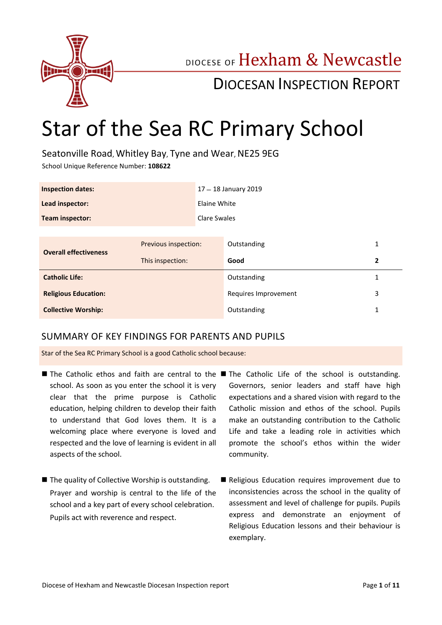

## DIOCESE OF Hexham & Newcastle

## DIOCESAN INSPECTION REPORT

# Star of the Sea RC Primary School

Seatonville Road, Whitley Bay, Tyne and Wear, NE25 9EG

School Unique Reference Number: **108622**

| <b>Inspection dates:</b>     |                      | 17 - 18 January 2019 |                      |   |
|------------------------------|----------------------|----------------------|----------------------|---|
| Lead inspector:              |                      | Elaine White         |                      |   |
| Team inspector:              |                      | Clare Swales         |                      |   |
|                              |                      |                      |                      |   |
| <b>Overall effectiveness</b> | Previous inspection: |                      | Outstanding          | 1 |
|                              | This inspection:     |                      | Good                 | 2 |
| <b>Catholic Life:</b>        |                      |                      | Outstanding          | 1 |
| <b>Religious Education:</b>  |                      |                      | Requires Improvement | 3 |
| <b>Collective Worship:</b>   |                      |                      | Outstanding          |   |

#### SUMMARY OF KEY FINDINGS FOR PARENTS AND PUPILS

Star of the Sea RC Primary School is a good Catholic school because:

- The Catholic ethos and faith are central to the The Catholic Life of the school is outstanding. school. As soon as you enter the school it is very clear that the prime purpose is Catholic education, helping children to develop their faith to understand that God loves them. It is a welcoming place where everyone is loved and respected and the love of learning is evident in all aspects of the school.
- The quality of Collective Worship is outstanding. Prayer and worship is central to the life of the school and a key part of every school celebration. Pupils act with reverence and respect.
- Governors, senior leaders and staff have high expectations and a shared vision with regard to the Catholic mission and ethos of the school. Pupils make an outstanding contribution to the Catholic Life and take a leading role in activities which promote the school's ethos within the wider community.
- Religious Education requires improvement due to inconsistencies across the school in the quality of assessment and level of challenge for pupils. Pupils express and demonstrate an enjoyment of Religious Education lessons and their behaviour is exemplary.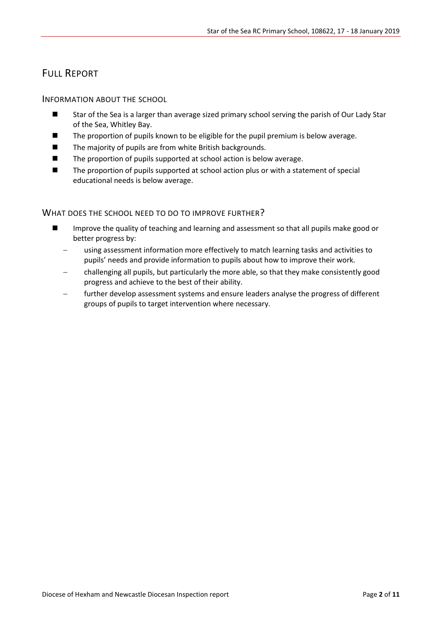## FULL REPORT

#### INFORMATION ABOUT THE SCHOOL

- Star of the Sea is a larger than average sized primary school serving the parish of Our Lady Star of the Sea, Whitley Bay.
- The proportion of pupils known to be eligible for the pupil premium is below average.
- $\blacksquare$  The majority of pupils are from white British backgrounds.
- $\blacksquare$  The proportion of pupils supported at school action is below average.
- The proportion of pupils supported at school action plus or with a statement of special educational needs is below average.

#### WHAT DOES THE SCHOOL NEED TO DO TO IMPROVE FURTHER?

- Improve the quality of teaching and learning and assessment so that all pupils make good or better progress by:
	- using assessment information more effectively to match learning tasks and activities to pupils' needs and provide information to pupils about how to improve their work.
	- challenging all pupils, but particularly the more able, so that they make consistently good progress and achieve to the best of their ability.
	- further develop assessment systems and ensure leaders analyse the progress of different groups of pupils to target intervention where necessary.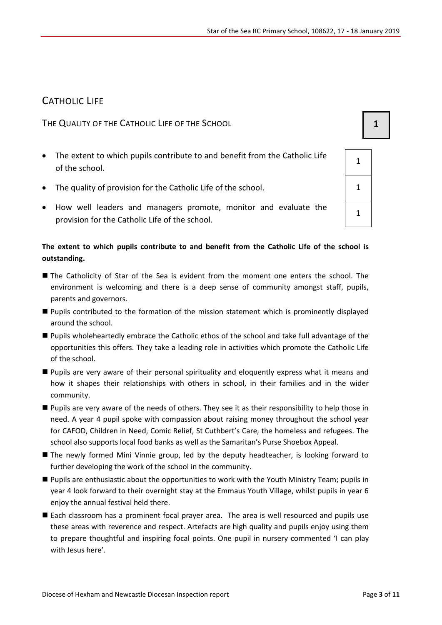## CATHOLIC LIFE

THE QUALITY OF THE CATHOLIC LIFE OF THE SCHOOL **1 1** 

- The extent to which pupils contribute to and benefit from the Catholic Life of the school.
- The quality of provision for the Catholic Life of the school.
- How well leaders and managers promote, monitor and evaluate the provision for the Catholic Life of the school.

#### **The extent to which pupils contribute to and benefit from the Catholic Life of the school is outstanding.**

- The Catholicity of Star of the Sea is evident from the moment one enters the school. The environment is welcoming and there is a deep sense of community amongst staff, pupils, parents and governors.
- Pupils contributed to the formation of the mission statement which is prominently displayed around the school.
- Pupils wholeheartedly embrace the Catholic ethos of the school and take full advantage of the opportunities this offers. They take a leading role in activities which promote the Catholic Life of the school.
- Pupils are very aware of their personal spirituality and eloquently express what it means and how it shapes their relationships with others in school, in their families and in the wider community.
- Pupils are very aware of the needs of others. They see it as their responsibility to help those in need. A year 4 pupil spoke with compassion about raising money throughout the school year for CAFOD, Children in Need, Comic Relief, St Cuthbert's Care, the homeless and refugees. The school also supports local food banks as well as the Samaritan's Purse Shoebox Appeal.
- The newly formed Mini Vinnie group, led by the deputy headteacher, is looking forward to further developing the work of the school in the community.
- Pupils are enthusiastic about the opportunities to work with the Youth Ministry Team; pupils in year 4 look forward to their overnight stay at the Emmaus Youth Village, whilst pupils in year 6 enjoy the annual festival held there.
- Each classroom has a prominent focal prayer area. The area is well resourced and pupils use these areas with reverence and respect. Artefacts are high quality and pupils enjoy using them to prepare thoughtful and inspiring focal points. One pupil in nursery commented 'I can play with Jesus here'.

| 1 |
|---|
| 1 |
| 1 |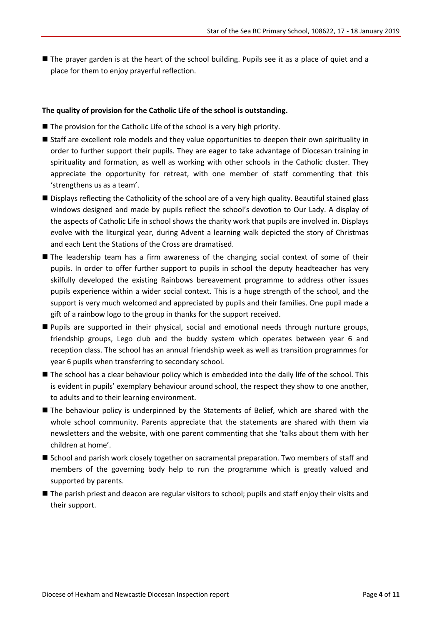■ The prayer garden is at the heart of the school building. Pupils see it as a place of quiet and a place for them to enjoy prayerful reflection.

#### **The quality of provision for the Catholic Life of the school is outstanding.**

- $\blacksquare$  The provision for the Catholic Life of the school is a very high priority.
- Staff are excellent role models and they value opportunities to deepen their own spirituality in order to further support their pupils. They are eager to take advantage of Diocesan training in spirituality and formation, as well as working with other schools in the Catholic cluster. They appreciate the opportunity for retreat, with one member of staff commenting that this 'strengthens us as a team'.
- Displays reflecting the Catholicity of the school are of a very high quality. Beautiful stained glass windows designed and made by pupils reflect the school's devotion to Our Lady. A display of the aspects of Catholic Life in school shows the charity work that pupils are involved in. Displays evolve with the liturgical year, during Advent a learning walk depicted the story of Christmas and each Lent the Stations of the Cross are dramatised.
- The leadership team has a firm awareness of the changing social context of some of their pupils. In order to offer further support to pupils in school the deputy headteacher has very skilfully developed the existing Rainbows bereavement programme to address other issues pupils experience within a wider social context. This is a huge strength of the school, and the support is very much welcomed and appreciated by pupils and their families. One pupil made a gift of a rainbow logo to the group in thanks for the support received.
- **Pupils are supported in their physical, social and emotional needs through nurture groups,** friendship groups, Lego club and the buddy system which operates between year 6 and reception class. The school has an annual friendship week as well as transition programmes for year 6 pupils when transferring to secondary school.
- The school has a clear behaviour policy which is embedded into the daily life of the school. This is evident in pupils' exemplary behaviour around school, the respect they show to one another, to adults and to their learning environment.
- The behaviour policy is underpinned by the Statements of Belief, which are shared with the whole school community. Parents appreciate that the statements are shared with them via newsletters and the website, with one parent commenting that she 'talks about them with her children at home'.
- School and parish work closely together on sacramental preparation. Two members of staff and members of the governing body help to run the programme which is greatly valued and supported by parents.
- The parish priest and deacon are regular visitors to school; pupils and staff enjoy their visits and their support.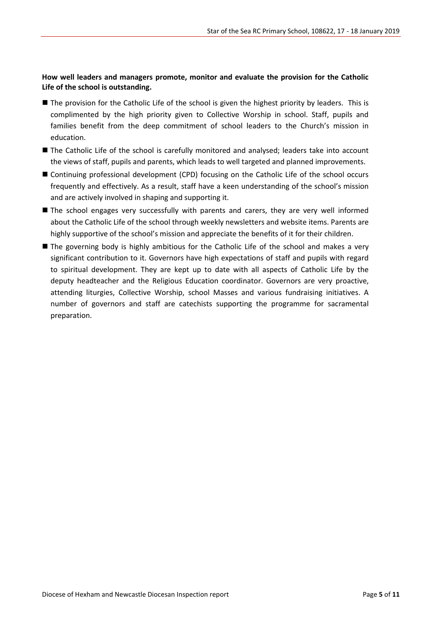#### **How well leaders and managers promote, monitor and evaluate the provision for the Catholic Life of the school is outstanding.**

- The provision for the Catholic Life of the school is given the highest priority by leaders. This is complimented by the high priority given to Collective Worship in school. Staff, pupils and families benefit from the deep commitment of school leaders to the Church's mission in education.
- The Catholic Life of the school is carefully monitored and analysed; leaders take into account the views of staff, pupils and parents, which leads to well targeted and planned improvements.
- Continuing professional development (CPD) focusing on the Catholic Life of the school occurs frequently and effectively. As a result, staff have a keen understanding of the school's mission and are actively involved in shaping and supporting it.
- **The school engages very successfully with parents and carers, they are very well informed** about the Catholic Life of the school through weekly newsletters and website items. Parents are highly supportive of the school's mission and appreciate the benefits of it for their children.
- The governing body is highly ambitious for the Catholic Life of the school and makes a very significant contribution to it. Governors have high expectations of staff and pupils with regard to spiritual development. They are kept up to date with all aspects of Catholic Life by the deputy headteacher and the Religious Education coordinator. Governors are very proactive, attending liturgies, Collective Worship, school Masses and various fundraising initiatives. A number of governors and staff are catechists supporting the programme for sacramental preparation.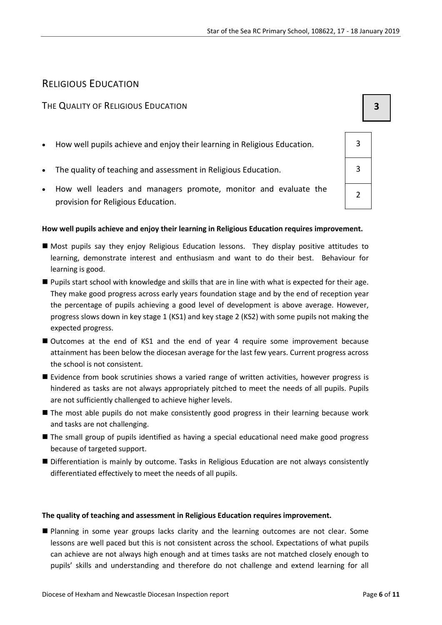#### RELIGIOUS EDUCATION

#### THE QUALITY OF RELIGIOUS EDUCATION **3**

- How well pupils achieve and enjoy their learning in Religious Education.  $\vert$  3
- The quality of teaching and assessment in Religious Education. **3** 3
- How well leaders and managers promote, monitor and evaluate the provision for Religious Education.

#### **How well pupils achieve and enjoy their learning in Religious Education requires improvement.**

- Most pupils say they enjoy Religious Education lessons. They display positive attitudes to learning, demonstrate interest and enthusiasm and want to do their best. Behaviour for learning is good.
- Pupils start school with knowledge and skills that are in line with what is expected for their age. They make good progress across early years foundation stage and by the end of reception year the percentage of pupils achieving a good level of development is above average. However, progress slows down in key stage 1 (KS1) and key stage 2 (KS2) with some pupils not making the expected progress.
- Outcomes at the end of KS1 and the end of year 4 require some improvement because attainment has been below the diocesan average for the last few years. Current progress across the school is not consistent.
- **E** Evidence from book scrutinies shows a varied range of written activities, however progress is hindered as tasks are not always appropriately pitched to meet the needs of all pupils. Pupils are not sufficiently challenged to achieve higher levels.
- The most able pupils do not make consistently good progress in their learning because work and tasks are not challenging.
- The small group of pupils identified as having a special educational need make good progress because of targeted support.
- Differentiation is mainly by outcome. Tasks in Religious Education are not always consistently differentiated effectively to meet the needs of all pupils.

#### **The quality of teaching and assessment in Religious Education requires improvement.**

 Planning in some year groups lacks clarity and the learning outcomes are not clear. Some lessons are well paced but this is not consistent across the school. Expectations of what pupils can achieve are not always high enough and at times tasks are not matched closely enough to pupils' skills and understanding and therefore do not challenge and extend learning for all

2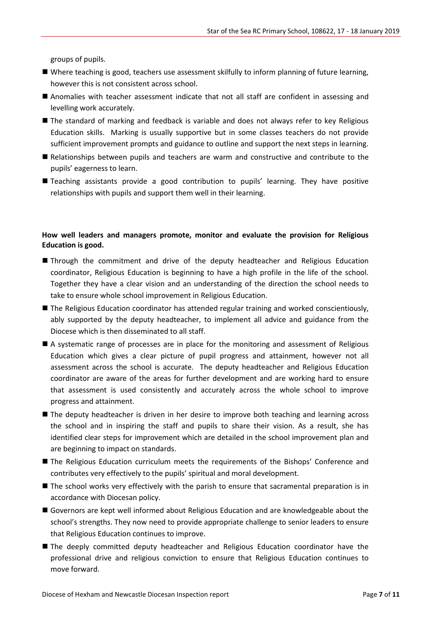groups of pupils.

- Where teaching is good, teachers use assessment skilfully to inform planning of future learning, however this is not consistent across school.
- Anomalies with teacher assessment indicate that not all staff are confident in assessing and levelling work accurately.
- The standard of marking and feedback is variable and does not always refer to key Religious Education skills. Marking is usually supportive but in some classes teachers do not provide sufficient improvement prompts and guidance to outline and support the next steps in learning.
- Relationships between pupils and teachers are warm and constructive and contribute to the pupils' eagerness to learn.
- Teaching assistants provide a good contribution to pupils' learning. They have positive relationships with pupils and support them well in their learning.

#### **How well leaders and managers promote, monitor and evaluate the provision for Religious Education is good.**

- Through the commitment and drive of the deputy headteacher and Religious Education coordinator, Religious Education is beginning to have a high profile in the life of the school. Together they have a clear vision and an understanding of the direction the school needs to take to ensure whole school improvement in Religious Education.
- The Religious Education coordinator has attended regular training and worked conscientiously, ably supported by the deputy headteacher, to implement all advice and guidance from the Diocese which is then disseminated to all staff.
- A systematic range of processes are in place for the monitoring and assessment of Religious Education which gives a clear picture of pupil progress and attainment, however not all assessment across the school is accurate. The deputy headteacher and Religious Education coordinator are aware of the areas for further development and are working hard to ensure that assessment is used consistently and accurately across the whole school to improve progress and attainment.
- The deputy headteacher is driven in her desire to improve both teaching and learning across the school and in inspiring the staff and pupils to share their vision. As a result, she has identified clear steps for improvement which are detailed in the school improvement plan and are beginning to impact on standards.
- The Religious Education curriculum meets the requirements of the Bishops' Conference and contributes very effectively to the pupils' spiritual and moral development.
- The school works very effectively with the parish to ensure that sacramental preparation is in accordance with Diocesan policy.
- Governors are kept well informed about Religious Education and are knowledgeable about the school's strengths. They now need to provide appropriate challenge to senior leaders to ensure that Religious Education continues to improve.
- The deeply committed deputy headteacher and Religious Education coordinator have the professional drive and religious conviction to ensure that Religious Education continues to move forward.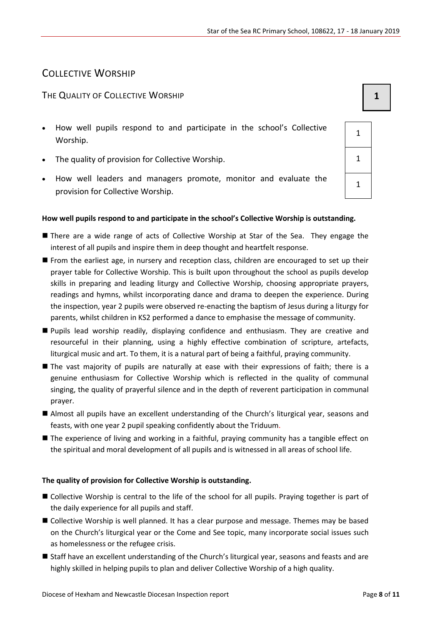### COLLECTIVE WORSHIP

#### THE QUALITY OF COLLECTIVE WORSHIP **1 1**

- How well pupils respond to and participate in the school's Collective Worship.
- The quality of provision for Collective Worship. 1
- How well leaders and managers promote, monitor and evaluate the provision for Collective Worship.

#### **How well pupils respond to and participate in the school's Collective Worship is outstanding.**

- **There are a wide range of acts of Collective Worship at Star of the Sea. They engage the** interest of all pupils and inspire them in deep thought and heartfelt response.
- From the earliest age, in nursery and reception class, children are encouraged to set up their prayer table for Collective Worship. This is built upon throughout the school as pupils develop skills in preparing and leading liturgy and Collective Worship, choosing appropriate prayers, readings and hymns, whilst incorporating dance and drama to deepen the experience. During the inspection, year 2 pupils were observed re-enacting the baptism of Jesus during a liturgy for parents, whilst children in KS2 performed a dance to emphasise the message of community.
- Pupils lead worship readily, displaying confidence and enthusiasm. They are creative and resourceful in their planning, using a highly effective combination of scripture, artefacts, liturgical music and art. To them, it is a natural part of being a faithful, praying community.
- $\blacksquare$  The vast majority of pupils are naturally at ease with their expressions of faith; there is a genuine enthusiasm for Collective Worship which is reflected in the quality of communal singing, the quality of prayerful silence and in the depth of reverent participation in communal prayer.
- Almost all pupils have an excellent understanding of the Church's liturgical year, seasons and feasts, with one year 2 pupil speaking confidently about the Triduum.
- **The experience of living and working in a faithful, praying community has a tangible effect on** the spiritual and moral development of all pupils and is witnessed in all areas of school life.

#### **The quality of provision for Collective Worship is outstanding.**

- Collective Worship is central to the life of the school for all pupils. Praying together is part of the daily experience for all pupils and staff.
- Collective Worship is well planned. It has a clear purpose and message. Themes may be based on the Church's liturgical year or the Come and See topic, many incorporate social issues such as homelessness or the refugee crisis.
- Staff have an excellent understanding of the Church's liturgical year, seasons and feasts and are highly skilled in helping pupils to plan and deliver Collective Worship of a high quality.

| 1 |  |
|---|--|
| 1 |  |
| 1 |  |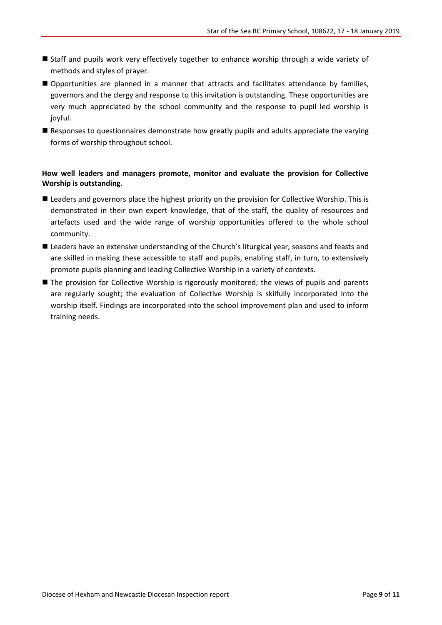- Staff and pupils work very effectively together to enhance worship through a wide variety of methods and styles of prayer.
- Opportunities are planned in a manner that attracts and facilitates attendance by families, governors and the clergy and response to this invitation is outstanding. These opportunities are very much appreciated by the school community and the response to pupil led worship is joyful.
- **Responses to questionnaires demonstrate how greatly pupils and adults appreciate the varying** forms of worship throughout school.

#### **How well leaders and managers promote, monitor and evaluate the provision for Collective Worship is outstanding.**

- **E** Leaders and governors place the highest priority on the provision for Collective Worship. This is demonstrated in their own expert knowledge, that of the staff, the quality of resources and artefacts used and the wide range of worship opportunities offered to the whole school community.
- **E** Leaders have an extensive understanding of the Church's liturgical year, seasons and feasts and are skilled in making these accessible to staff and pupils, enabling staff, in turn, to extensively promote pupils planning and leading Collective Worship in a variety of contexts.
- The provision for Collective Worship is rigorously monitored; the views of pupils and parents are regularly sought; the evaluation of Collective Worship is skilfully incorporated into the worship itself. Findings are incorporated into the school improvement plan and used to inform training needs.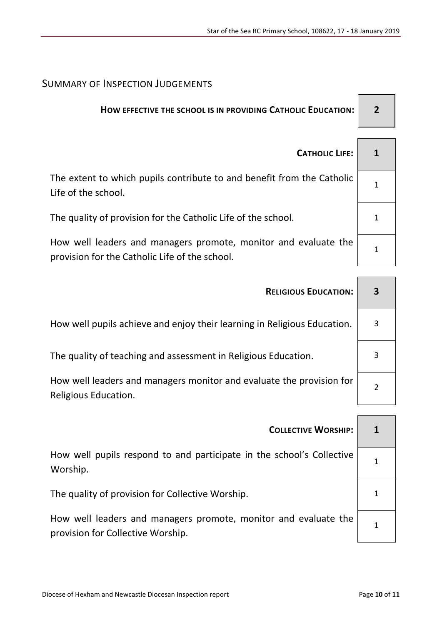### SUMMARY OF INSPECTION JUDGEMENTS

## **HOW EFFECTIVE THE SCHOOL IS IN PROVIDING CATHOLIC EDUCATION: 2**

 $\Gamma$ 

| <b>CATHOLIC LIFE:</b>                                                                                             |  |
|-------------------------------------------------------------------------------------------------------------------|--|
| The extent to which pupils contribute to and benefit from the Catholic<br>Life of the school.                     |  |
| The quality of provision for the Catholic Life of the school.                                                     |  |
| How well leaders and managers promote, monitor and evaluate the<br>provision for the Catholic Life of the school. |  |

| <b>RELIGIOUS EDUCATION:</b>                                                                  | 3 |
|----------------------------------------------------------------------------------------------|---|
| How well pupils achieve and enjoy their learning in Religious Education.                     | 3 |
| The quality of teaching and assessment in Religious Education.                               |   |
| How well leaders and managers monitor and evaluate the provision for<br>Religious Education. |   |

| <b>COLLECTIVE WORSHIP:</b>                                                                           |  |
|------------------------------------------------------------------------------------------------------|--|
| How well pupils respond to and participate in the school's Collective<br>Worship.                    |  |
| The quality of provision for Collective Worship.                                                     |  |
| How well leaders and managers promote, monitor and evaluate the<br>provision for Collective Worship. |  |